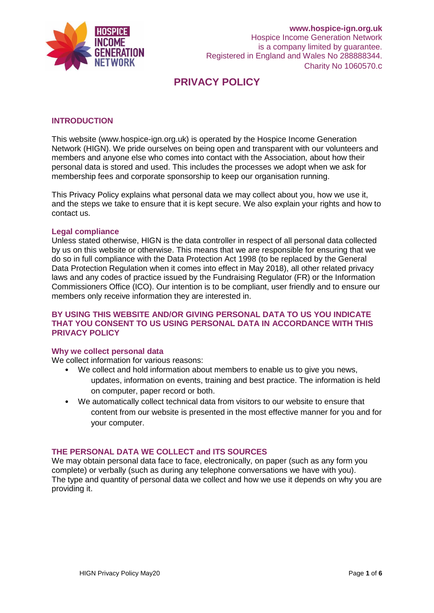

### **INTRODUCTION**

This website (www.hospice-ign.org.uk) is operated by the Hospice Income Generation Network (HIGN). We pride ourselves on being open and transparent with our volunteers and members and anyone else who comes into contact with the Association, about how their personal data is stored and used. This includes the processes we adopt when we ask for membership fees and corporate sponsorship to keep our organisation running.

This Privacy Policy explains what personal data we may collect about you, how we use it, and the steps we take to ensure that it is kept secure. We also explain your rights and how to contact us.

#### **Legal compliance**

Unless stated otherwise, HIGN is the data controller in respect of all personal data collected by us on this website or otherwise. This means that we are responsible for ensuring that we do so in full compliance with the Data Protection Act 1998 (to be replaced by the General Data Protection Regulation when it comes into effect in May 2018), all other related privacy laws and any codes of practice issued by the Fundraising Regulator (FR) or the Information Commissioners Office (ICO). Our intention is to be compliant, user friendly and to ensure our members only receive information they are interested in.

### **BY USING THIS WEBSITE AND/OR GIVING PERSONAL DATA TO US YOU INDICATE THAT YOU CONSENT TO US USING PERSONAL DATA IN ACCORDANCE WITH THIS PRIVACY POLICY**

#### **Why we collect personal data**

We collect information for various reasons:

- We collect and hold information about members to enable us to give you news, updates, information on events, training and best practice. The information is held on computer, paper record or both.
- We automatically collect technical data from visitors to our website to ensure that content from our website is presented in the most effective manner for you and for your computer.

### **THE PERSONAL DATA WE COLLECT and ITS SOURCES**

We may obtain personal data face to face, electronically, on paper (such as any form you complete) or verbally (such as during any telephone conversations we have with you). The type and quantity of personal data we collect and how we use it depends on why you are providing it.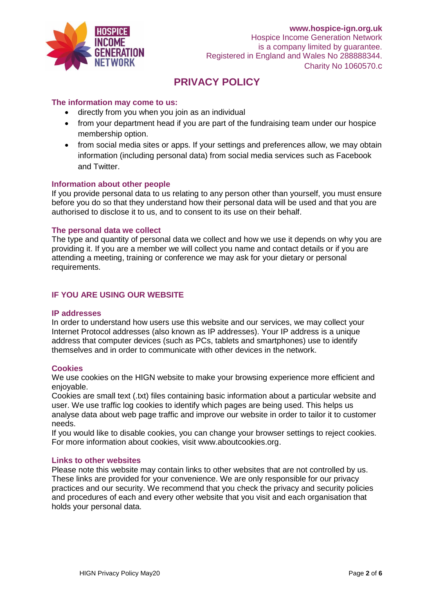

## **The information may come to us:**

- directly from you when you join as an individual
- from your department head if you are part of the fundraising team under our hospice membership option.
- from social media sites or apps. If your settings and preferences allow, we may obtain information (including personal data) from social media services such as Facebook and Twitter.

#### **Information about other people**

If you provide personal data to us relating to any person other than yourself, you must ensure before you do so that they understand how their personal data will be used and that you are authorised to disclose it to us, and to consent to its use on their behalf.

#### **The personal data we collect**

The type and quantity of personal data we collect and how we use it depends on why you are providing it. If you are a member we will collect you name and contact details or if you are attending a meeting, training or conference we may ask for your dietary or personal requirements.

## **IF YOU ARE USING OUR WEBSITE**

#### **IP addresses**

In order to understand how users use this website and our services, we may collect your Internet Protocol addresses (also known as IP addresses). Your IP address is a unique address that computer devices (such as PCs, tablets and smartphones) use to identify themselves and in order to communicate with other devices in the network.

#### **Cookies**

We use cookies on the HIGN website to make your browsing experience more efficient and enjoyable.

Cookies are small text (.txt) files containing basic information about a particular website and user. We use traffic log cookies to identify which pages are being used. This helps us analyse data about web page traffic and improve our website in order to tailor it to customer needs.

If you would like to disable cookies, you can change your browser settings to reject cookies. For more information about cookies, visit www.aboutcookies.org.

#### **Links to other websites**

Please note this website may contain links to other websites that are not controlled by us. These links are provided for your convenience. We are only responsible for our privacy practices and our security. We recommend that you check the privacy and security policies and procedures of each and every other website that you visit and each organisation that holds your personal data.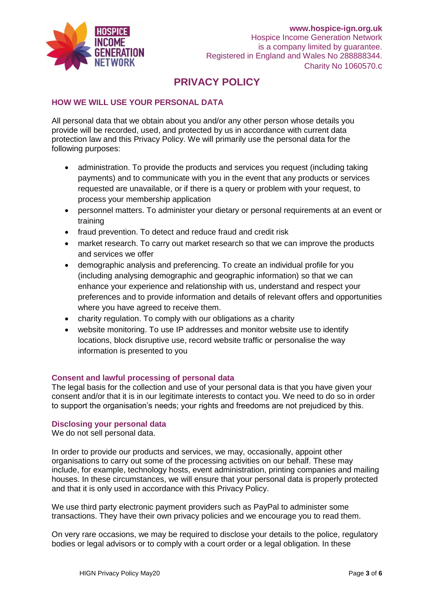

## **HOW WE WILL USE YOUR PERSONAL DATA**

All personal data that we obtain about you and/or any other person whose details you provide will be recorded, used, and protected by us in accordance with current data protection law and this Privacy Policy. We will primarily use the personal data for the following purposes:

- administration. To provide the products and services you request (including taking payments) and to communicate with you in the event that any products or services requested are unavailable, or if there is a query or problem with your request, to process your membership application
- personnel matters. To administer your dietary or personal requirements at an event or training
- fraud prevention. To detect and reduce fraud and credit risk
- market research. To carry out market research so that we can improve the products and services we offer
- demographic analysis and preferencing. To create an individual profile for you (including analysing demographic and geographic information) so that we can enhance your experience and relationship with us, understand and respect your preferences and to provide information and details of relevant offers and opportunities where you have agreed to receive them.
- charity regulation. To comply with our obligations as a charity
- website monitoring. To use IP addresses and monitor website use to identify locations, block disruptive use, record website traffic or personalise the way information is presented to you

## **Consent and lawful processing of personal data**

The legal basis for the collection and use of your personal data is that you have given your consent and/or that it is in our legitimate interests to contact you. We need to do so in order to support the organisation's needs; your rights and freedoms are not prejudiced by this.

## **Disclosing your personal data**

We do not sell personal data.

In order to provide our products and services, we may, occasionally, appoint other organisations to carry out some of the processing activities on our behalf. These may include, for example, technology hosts, event administration, printing companies and mailing houses. In these circumstances, we will ensure that your personal data is properly protected and that it is only used in accordance with this Privacy Policy.

We use third party electronic payment providers such as PayPal to administer some transactions. They have their own privacy policies and we encourage you to read them.

On very rare occasions, we may be required to disclose your details to the police, regulatory bodies or legal advisors or to comply with a court order or a legal obligation. In these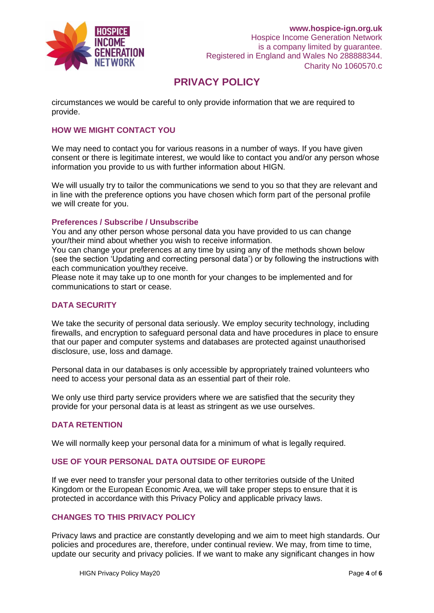

circumstances we would be careful to only provide information that we are required to provide.

## **HOW WE MIGHT CONTACT YOU**

We may need to contact you for various reasons in a number of ways. If you have given consent or there is legitimate interest, we would like to contact you and/or any person whose information you provide to us with further information about HIGN.

We will usually try to tailor the communications we send to you so that they are relevant and in line with the preference options you have chosen which form part of the personal profile we will create for you.

### **Preferences / Subscribe / Unsubscribe**

You and any other person whose personal data you have provided to us can change your/their mind about whether you wish to receive information.

You can change your preferences at any time by using any of the methods shown below (see the section 'Updating and correcting personal data') or by following the instructions with each communication you/they receive.

Please note it may take up to one month for your changes to be implemented and for communications to start or cease.

## **DATA SECURITY**

We take the security of personal data seriously. We employ security technology, including firewalls, and encryption to safeguard personal data and have procedures in place to ensure that our paper and computer systems and databases are protected against unauthorised disclosure, use, loss and damage.

Personal data in our databases is only accessible by appropriately trained volunteers who need to access your personal data as an essential part of their role.

We only use third party service providers where we are satisfied that the security they provide for your personal data is at least as stringent as we use ourselves.

#### **DATA RETENTION**

We will normally keep your personal data for a minimum of what is legally required.

### **USE OF YOUR PERSONAL DATA OUTSIDE OF EUROPE**

If we ever need to transfer your personal data to other territories outside of the United Kingdom or the European Economic Area, we will take proper steps to ensure that it is protected in accordance with this Privacy Policy and applicable privacy laws.

### **CHANGES TO THIS PRIVACY POLICY**

Privacy laws and practice are constantly developing and we aim to meet high standards. Our policies and procedures are, therefore, under continual review. We may, from time to time, update our security and privacy policies. If we want to make any significant changes in how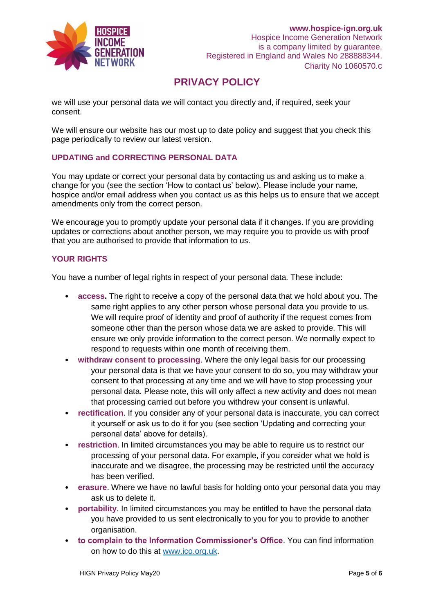

we will use your personal data we will contact you directly and, if required, seek your consent.

We will ensure our website has our most up to date policy and suggest that you check this page periodically to review our latest version.

## **UPDATING and CORRECTING PERSONAL DATA**

You may update or correct your personal data by contacting us and asking us to make a change for you (see the section 'How to contact us' below). Please include your name, hospice and/or email address when you contact us as this helps us to ensure that we accept amendments only from the correct person.

We encourage you to promptly update your personal data if it changes. If you are providing updates or corrections about another person, we may require you to provide us with proof that you are authorised to provide that information to us.

## **YOUR RIGHTS**

You have a number of legal rights in respect of your personal data. These include:

- **access.** The right to receive a copy of the personal data that we hold about you. The same right applies to any other person whose personal data you provide to us. We will require proof of identity and proof of authority if the request comes from someone other than the person whose data we are asked to provide. This will ensure we only provide information to the correct person. We normally expect to respond to requests within one month of receiving them.
- **withdraw consent to processing**. Where the only legal basis for our processing your personal data is that we have your consent to do so, you may withdraw your consent to that processing at any time and we will have to stop processing your personal data. Please note, this will only affect a new activity and does not mean that processing carried out before you withdrew your consent is unlawful.
- **rectification**. If you consider any of your personal data is inaccurate, you can correct it yourself or ask us to do it for you (see section 'Updating and correcting your personal data' above for details).
- **restriction**. In limited circumstances you may be able to require us to restrict our processing of your personal data. For example, if you consider what we hold is inaccurate and we disagree, the processing may be restricted until the accuracy has been verified.
- **erasure**. Where we have no lawful basis for holding onto your personal data you may ask us to delete it.
- **portability**. In limited circumstances you may be entitled to have the personal data you have provided to us sent electronically to you for you to provide to another organisation.
- **to complain to the Information Commissioner's Office**. You can find information on how to do this at [www.ico.org.uk.](http://www.ico.org.uk/)